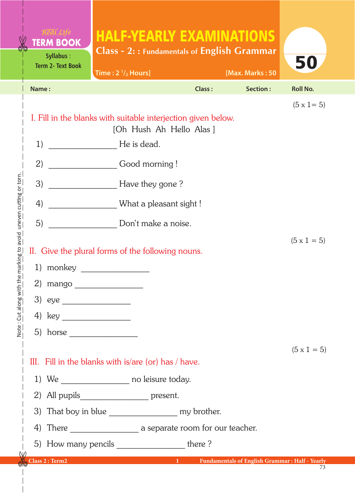|                                               | <b>TERM BOOK</b><br><b>Syllabus:</b><br><b>Term 2- Text Book</b>    | <b>HALF-YEARLY EXAMINATIONS</b><br><b>Class - 2:: Fundamentals of English Grammar</b><br>Time: $2 \frac{1}{2}$ Hours] |        | [Max. Marks: 50 | 50                 |  |
|-----------------------------------------------|---------------------------------------------------------------------|-----------------------------------------------------------------------------------------------------------------------|--------|-----------------|--------------------|--|
|                                               | Name:                                                               |                                                                                                                       | Class: | Section:        | <b>Roll No.</b>    |  |
|                                               | I. Fill in the blanks with suitable interjection given below.<br>1) | $(5 \times 1 = 5)$                                                                                                    |        |                 |                    |  |
|                                               |                                                                     | He is dead.                                                                                                           |        |                 |                    |  |
|                                               | 3)                                                                  | 2)<br>Good morning!<br>Have they gone?                                                                                |        |                 |                    |  |
|                                               | 4)                                                                  | What a pleasant sight !                                                                                               |        |                 |                    |  |
| the marking to avoid "uneven cutting or torn. | 5)                                                                  | Don't make a noise.                                                                                                   |        |                 |                    |  |
|                                               | II. Give the plural forms of the following nouns.                   | $(5 \times 1 = 5)$                                                                                                    |        |                 |                    |  |
|                                               | 1) monkey                                                           |                                                                                                                       |        |                 |                    |  |
|                                               | 2) mango                                                            |                                                                                                                       |        |                 |                    |  |
|                                               |                                                                     |                                                                                                                       |        |                 |                    |  |
| <u>Time Strone in Time</u>                    |                                                                     |                                                                                                                       |        |                 |                    |  |
|                                               | 5) horse                                                            |                                                                                                                       |        |                 |                    |  |
|                                               |                                                                     | III. Fill in the blanks with is/are (or) has / have.                                                                  |        |                 | $(5 \times 1 = 5)$ |  |
|                                               | 1) We _____________________ no leisure today.                       |                                                                                                                       |        |                 |                    |  |
|                                               |                                                                     | 2) All pupils _________________ present.                                                                              |        |                 |                    |  |
|                                               |                                                                     |                                                                                                                       |        |                 |                    |  |
|                                               |                                                                     |                                                                                                                       |        |                 |                    |  |
| W                                             |                                                                     | 5) How many pencils _______________________ there ?                                                                   |        |                 |                    |  |
|                                               |                                                                     | Class 2 : Term2 1 Fundamentals of English Grammar : Half - Yearly                                                     |        |                 |                    |  |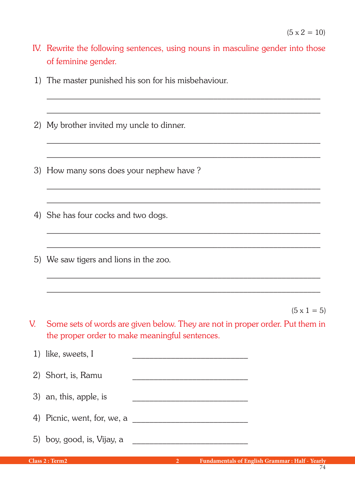IV. Rewrite the following sentences, using nouns in masculine gender into those of feminine gender.

 $\mathcal{L}_\text{max} = \frac{1}{2} \sum_{i=1}^{n} \frac{1}{2} \sum_{i=1}^{n} \frac{1}{2} \sum_{i=1}^{n} \frac{1}{2} \sum_{i=1}^{n} \frac{1}{2} \sum_{i=1}^{n} \frac{1}{2} \sum_{i=1}^{n} \frac{1}{2} \sum_{i=1}^{n} \frac{1}{2} \sum_{i=1}^{n} \frac{1}{2} \sum_{i=1}^{n} \frac{1}{2} \sum_{i=1}^{n} \frac{1}{2} \sum_{i=1}^{n} \frac{1}{2} \sum_{i=1}^{n} \frac{1$ 

 $\mathcal{L}_\text{max} = \frac{1}{2} \sum_{i=1}^{n} \frac{1}{2} \sum_{i=1}^{n} \frac{1}{2} \sum_{i=1}^{n} \frac{1}{2} \sum_{i=1}^{n} \frac{1}{2} \sum_{i=1}^{n} \frac{1}{2} \sum_{i=1}^{n} \frac{1}{2} \sum_{i=1}^{n} \frac{1}{2} \sum_{i=1}^{n} \frac{1}{2} \sum_{i=1}^{n} \frac{1}{2} \sum_{i=1}^{n} \frac{1}{2} \sum_{i=1}^{n} \frac{1}{2} \sum_{i=1}^{n} \frac{1$ 

 $\mathcal{L}_\text{max} = \frac{1}{2} \sum_{i=1}^{n} \frac{1}{2} \sum_{i=1}^{n} \frac{1}{2} \sum_{i=1}^{n} \frac{1}{2} \sum_{i=1}^{n} \frac{1}{2} \sum_{i=1}^{n} \frac{1}{2} \sum_{i=1}^{n} \frac{1}{2} \sum_{i=1}^{n} \frac{1}{2} \sum_{i=1}^{n} \frac{1}{2} \sum_{i=1}^{n} \frac{1}{2} \sum_{i=1}^{n} \frac{1}{2} \sum_{i=1}^{n} \frac{1}{2} \sum_{i=1}^{n} \frac{1$ 

 $\mathcal{L}_\text{max} = \frac{1}{2} \sum_{i=1}^{n} \frac{1}{2} \sum_{i=1}^{n} \frac{1}{2} \sum_{i=1}^{n} \frac{1}{2} \sum_{i=1}^{n} \frac{1}{2} \sum_{i=1}^{n} \frac{1}{2} \sum_{i=1}^{n} \frac{1}{2} \sum_{i=1}^{n} \frac{1}{2} \sum_{i=1}^{n} \frac{1}{2} \sum_{i=1}^{n} \frac{1}{2} \sum_{i=1}^{n} \frac{1}{2} \sum_{i=1}^{n} \frac{1}{2} \sum_{i=1}^{n} \frac{1$ 

 $\mathcal{L}_\text{max} = \frac{1}{2} \sum_{i=1}^{n} \frac{1}{2} \sum_{i=1}^{n} \frac{1}{2} \sum_{i=1}^{n} \frac{1}{2} \sum_{i=1}^{n} \frac{1}{2} \sum_{i=1}^{n} \frac{1}{2} \sum_{i=1}^{n} \frac{1}{2} \sum_{i=1}^{n} \frac{1}{2} \sum_{i=1}^{n} \frac{1}{2} \sum_{i=1}^{n} \frac{1}{2} \sum_{i=1}^{n} \frac{1}{2} \sum_{i=1}^{n} \frac{1}{2} \sum_{i=1}^{n} \frac{1$ 

\_\_\_\_\_\_\_\_\_\_\_\_\_\_\_\_\_\_\_\_\_\_\_\_\_\_\_\_\_\_\_\_\_\_\_\_\_\_\_\_\_\_\_\_\_\_\_\_\_\_\_\_\_\_\_\_\_\_\_\_\_\_\_\_

- 1) The master punished his son for his misbehaviour.
- 2) My brother invited my uncle to dinner.
- 3) How many sons does your nephew have ?
- 4) She has four cocks and two dogs.
- 5) We saw tigers and lions in the zoo.

 $(5 \times 1 = 5)$ 

V. Some sets of words are given below. They are not in proper order. Put them in the proper order to make meaningful sentences.

 $\mathcal{L}_\text{max} = \frac{1}{2} \sum_{i=1}^{n} \frac{1}{2} \sum_{i=1}^{n} \frac{1}{2} \sum_{i=1}^{n} \frac{1}{2} \sum_{i=1}^{n} \frac{1}{2} \sum_{i=1}^{n} \frac{1}{2} \sum_{i=1}^{n} \frac{1}{2} \sum_{i=1}^{n} \frac{1}{2} \sum_{i=1}^{n} \frac{1}{2} \sum_{i=1}^{n} \frac{1}{2} \sum_{i=1}^{n} \frac{1}{2} \sum_{i=1}^{n} \frac{1}{2} \sum_{i=1}^{n} \frac{1$ 

| 1) like, sweets, I          |  |
|-----------------------------|--|
| 2) Short, is, Ramu          |  |
| 3) an, this, apple, is      |  |
| 4) Picnic, went, for, we, a |  |
| 5) boy, good, is, Vijay, a  |  |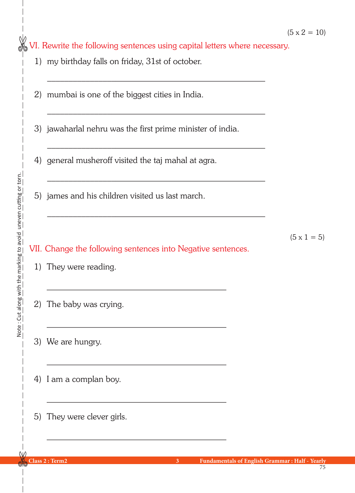VI. Rewrite the following sentences using capital letters where necessary.

 $\mathcal{L}_\text{max} = \frac{1}{2} \sum_{i=1}^{n} \frac{1}{2} \sum_{i=1}^{n} \frac{1}{2} \sum_{i=1}^{n} \frac{1}{2} \sum_{i=1}^{n} \frac{1}{2} \sum_{i=1}^{n} \frac{1}{2} \sum_{i=1}^{n} \frac{1}{2} \sum_{i=1}^{n} \frac{1}{2} \sum_{i=1}^{n} \frac{1}{2} \sum_{i=1}^{n} \frac{1}{2} \sum_{i=1}^{n} \frac{1}{2} \sum_{i=1}^{n} \frac{1}{2} \sum_{i=1}^{n} \frac{1$ 

 $\mathcal{L}_\text{max} = \frac{1}{2} \sum_{i=1}^{n} \frac{1}{2} \sum_{i=1}^{n} \frac{1}{2} \sum_{i=1}^{n} \frac{1}{2} \sum_{i=1}^{n} \frac{1}{2} \sum_{i=1}^{n} \frac{1}{2} \sum_{i=1}^{n} \frac{1}{2} \sum_{i=1}^{n} \frac{1}{2} \sum_{i=1}^{n} \frac{1}{2} \sum_{i=1}^{n} \frac{1}{2} \sum_{i=1}^{n} \frac{1}{2} \sum_{i=1}^{n} \frac{1}{2} \sum_{i=1}^{n} \frac{1$ 

 $\mathcal{L}_\text{max} = \frac{1}{2} \sum_{i=1}^{n} \frac{1}{2} \sum_{i=1}^{n} \frac{1}{2} \sum_{i=1}^{n} \frac{1}{2} \sum_{i=1}^{n} \frac{1}{2} \sum_{i=1}^{n} \frac{1}{2} \sum_{i=1}^{n} \frac{1}{2} \sum_{i=1}^{n} \frac{1}{2} \sum_{i=1}^{n} \frac{1}{2} \sum_{i=1}^{n} \frac{1}{2} \sum_{i=1}^{n} \frac{1}{2} \sum_{i=1}^{n} \frac{1}{2} \sum_{i=1}^{n} \frac{1$ 

 $\mathcal{L}_\text{max} = \frac{1}{2} \sum_{i=1}^{n} \frac{1}{2} \sum_{i=1}^{n} \frac{1}{2} \sum_{i=1}^{n} \frac{1}{2} \sum_{i=1}^{n} \frac{1}{2} \sum_{i=1}^{n} \frac{1}{2} \sum_{i=1}^{n} \frac{1}{2} \sum_{i=1}^{n} \frac{1}{2} \sum_{i=1}^{n} \frac{1}{2} \sum_{i=1}^{n} \frac{1}{2} \sum_{i=1}^{n} \frac{1}{2} \sum_{i=1}^{n} \frac{1}{2} \sum_{i=1}^{n} \frac{1$ 

 $\mathcal{L}_\text{max} = \frac{1}{2} \sum_{i=1}^{n} \frac{1}{2} \sum_{i=1}^{n} \frac{1}{2} \sum_{i=1}^{n} \frac{1}{2} \sum_{i=1}^{n} \frac{1}{2} \sum_{i=1}^{n} \frac{1}{2} \sum_{i=1}^{n} \frac{1}{2} \sum_{i=1}^{n} \frac{1}{2} \sum_{i=1}^{n} \frac{1}{2} \sum_{i=1}^{n} \frac{1}{2} \sum_{i=1}^{n} \frac{1}{2} \sum_{i=1}^{n} \frac{1}{2} \sum_{i=1}^{n} \frac{1$ 

- 1) my birthday falls on friday, 31st of october.
- 2) mumbai is one of the biggest cities in India.
- 3) jawaharlal nehru was the first prime minister of india.
- 4) general musheroff visited the taj mahal at agra.
- 5) james and his children visited us last march.

 $\mathcal{L}_\text{max} = \frac{1}{2} \sum_{i=1}^{n} \frac{1}{2} \sum_{i=1}^{n} \frac{1}{2} \sum_{i=1}^{n} \frac{1}{2} \sum_{i=1}^{n} \frac{1}{2} \sum_{i=1}^{n} \frac{1}{2} \sum_{i=1}^{n} \frac{1}{2} \sum_{i=1}^{n} \frac{1}{2} \sum_{i=1}^{n} \frac{1}{2} \sum_{i=1}^{n} \frac{1}{2} \sum_{i=1}^{n} \frac{1}{2} \sum_{i=1}^{n} \frac{1}{2} \sum_{i=1}^{n} \frac{1$ 

 $\mathcal{L}_\text{max} = \frac{1}{2} \sum_{i=1}^{n} \frac{1}{2} \sum_{i=1}^{n} \frac{1}{2} \sum_{i=1}^{n} \frac{1}{2} \sum_{i=1}^{n} \frac{1}{2} \sum_{i=1}^{n} \frac{1}{2} \sum_{i=1}^{n} \frac{1}{2} \sum_{i=1}^{n} \frac{1}{2} \sum_{i=1}^{n} \frac{1}{2} \sum_{i=1}^{n} \frac{1}{2} \sum_{i=1}^{n} \frac{1}{2} \sum_{i=1}^{n} \frac{1}{2} \sum_{i=1}^{n} \frac{1$ 

 $\mathcal{L}_\text{max} = \frac{1}{2} \sum_{i=1}^{n} \frac{1}{2} \sum_{i=1}^{n} \frac{1}{2} \sum_{i=1}^{n} \frac{1}{2} \sum_{i=1}^{n} \frac{1}{2} \sum_{i=1}^{n} \frac{1}{2} \sum_{i=1}^{n} \frac{1}{2} \sum_{i=1}^{n} \frac{1}{2} \sum_{i=1}^{n} \frac{1}{2} \sum_{i=1}^{n} \frac{1}{2} \sum_{i=1}^{n} \frac{1}{2} \sum_{i=1}^{n} \frac{1}{2} \sum_{i=1}^{n} \frac{1$ 

 $\mathcal{L}_\text{max}$  and the contract of the contract of the contract of the contract of the contract of the contract of the contract of the contract of the contract of the contract of the contract of the contract of the contrac

 $\mathcal{L}_\text{max} = \frac{1}{2} \sum_{i=1}^{n} \frac{1}{2} \sum_{i=1}^{n} \frac{1}{2} \sum_{i=1}^{n} \frac{1}{2} \sum_{i=1}^{n} \frac{1}{2} \sum_{i=1}^{n} \frac{1}{2} \sum_{i=1}^{n} \frac{1}{2} \sum_{i=1}^{n} \frac{1}{2} \sum_{i=1}^{n} \frac{1}{2} \sum_{i=1}^{n} \frac{1}{2} \sum_{i=1}^{n} \frac{1}{2} \sum_{i=1}^{n} \frac{1}{2} \sum_{i=1}^{n} \frac{1$ 

 $(5 \times 1 = 5)$ 

- 1) They were reading.
- 2) The baby was crying.
- 3) We are hungry.
- 4) I am a complan boy.
- 5) They were clever girls.